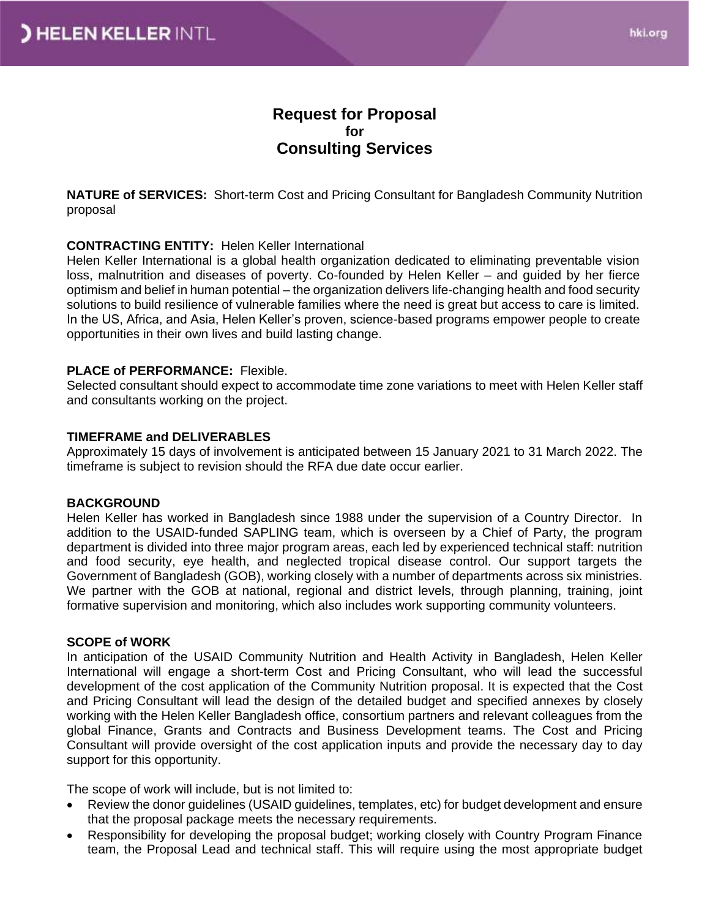# **Request for Proposal for Consulting Services**

**NATURE of SERVICES:** Short-term Cost and Pricing Consultant for Bangladesh Community Nutrition proposal

#### **CONTRACTING ENTITY:** Helen Keller International

Helen Keller International is a global health organization dedicated to eliminating preventable vision loss, malnutrition and diseases of poverty. Co-founded by Helen Keller – and guided by her fierce optimism and belief in human potential – the organization delivers life-changing health and food security solutions to build resilience of vulnerable families where the need is great but access to care is limited. In the US, Africa, and Asia, Helen Keller's proven, science-based programs empower people to create opportunities in their own lives and build lasting change.

#### **PLACE of PERFORMANCE:** Flexible.

Selected consultant should expect to accommodate time zone variations to meet with Helen Keller staff and consultants working on the project.

#### **TIMEFRAME and DELIVERABLES**

Approximately 15 days of involvement is anticipated between 15 January 2021 to 31 March 2022. The timeframe is subject to revision should the RFA due date occur earlier.

#### **BACKGROUND**

Helen Keller has worked in Bangladesh since 1988 under the supervision of a Country Director. In addition to the USAID-funded SAPLING team, which is overseen by a Chief of Party, the program department is divided into three major program areas, each led by experienced technical staff: nutrition and food security, eye health, and neglected tropical disease control. Our support targets the Government of Bangladesh (GOB), working closely with a number of departments across six ministries. We partner with the GOB at national, regional and district levels, through planning, training, joint formative supervision and monitoring, which also includes work supporting community volunteers.

#### **SCOPE of WORK**

In anticipation of the USAID Community Nutrition and Health Activity in Bangladesh, Helen Keller International will engage a short-term Cost and Pricing Consultant, who will lead the successful development of the cost application of the Community Nutrition proposal. It is expected that the Cost and Pricing Consultant will lead the design of the detailed budget and specified annexes by closely working with the Helen Keller Bangladesh office, consortium partners and relevant colleagues from the global Finance, Grants and Contracts and Business Development teams. The Cost and Pricing Consultant will provide oversight of the cost application inputs and provide the necessary day to day support for this opportunity.

The scope of work will include, but is not limited to:

- Review the donor guidelines (USAID guidelines, templates, etc) for budget development and ensure that the proposal package meets the necessary requirements.
- Responsibility for developing the proposal budget; working closely with Country Program Finance team, the Proposal Lead and technical staff. This will require using the most appropriate budget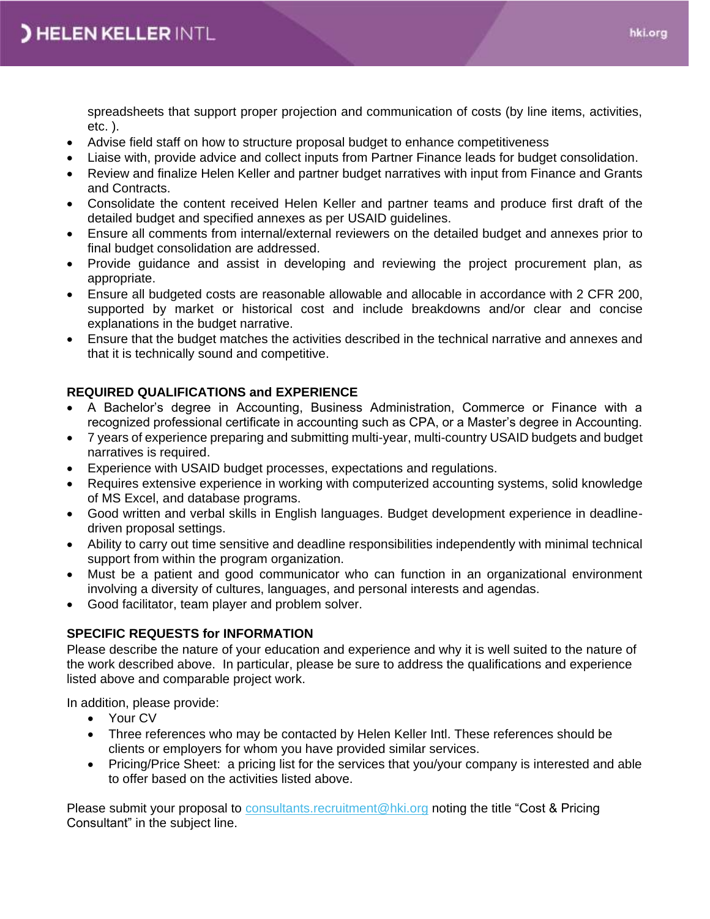spreadsheets that support proper projection and communication of costs (by line items, activities, etc. ).

- Advise field staff on how to structure proposal budget to enhance competitiveness
- Liaise with, provide advice and collect inputs from Partner Finance leads for budget consolidation.
- Review and finalize Helen Keller and partner budget narratives with input from Finance and Grants and Contracts.
- Consolidate the content received Helen Keller and partner teams and produce first draft of the detailed budget and specified annexes as per USAID guidelines.
- Ensure all comments from internal/external reviewers on the detailed budget and annexes prior to final budget consolidation are addressed.
- Provide guidance and assist in developing and reviewing the project procurement plan, as appropriate.
- Ensure all budgeted costs are reasonable allowable and allocable in accordance with 2 CFR 200, supported by market or historical cost and include breakdowns and/or clear and concise explanations in the budget narrative.
- Ensure that the budget matches the activities described in the technical narrative and annexes and that it is technically sound and competitive.

## **REQUIRED QUALIFICATIONS and EXPERIENCE**

- A Bachelor's degree in Accounting, Business Administration, Commerce or Finance with a recognized professional certificate in accounting such as CPA, or a Master's degree in Accounting.
- 7 years of experience preparing and submitting multi-year, multi-country USAID budgets and budget narratives is required.
- Experience with USAID budget processes, expectations and regulations.
- Requires extensive experience in working with computerized accounting systems, solid knowledge of MS Excel, and database programs.
- Good written and verbal skills in English languages. Budget development experience in deadlinedriven proposal settings.
- Ability to carry out time sensitive and deadline responsibilities independently with minimal technical support from within the program organization.
- Must be a patient and good communicator who can function in an organizational environment involving a diversity of cultures, languages, and personal interests and agendas.
- Good facilitator, team player and problem solver.

## **SPECIFIC REQUESTS for INFORMATION**

Please describe the nature of your education and experience and why it is well suited to the nature of the work described above. In particular, please be sure to address the qualifications and experience listed above and comparable project work.

In addition, please provide:

- Your CV
- Three references who may be contacted by Helen Keller Intl. These references should be clients or employers for whom you have provided similar services.
- Pricing/Price Sheet:a pricing list for the services that you/your company is interested and able to offer based on the activities listed above.

Please submit your proposal to [consultants.recruitment@hki.org](about:blank) noting the title "Cost & Pricing Consultant" in the subject line.